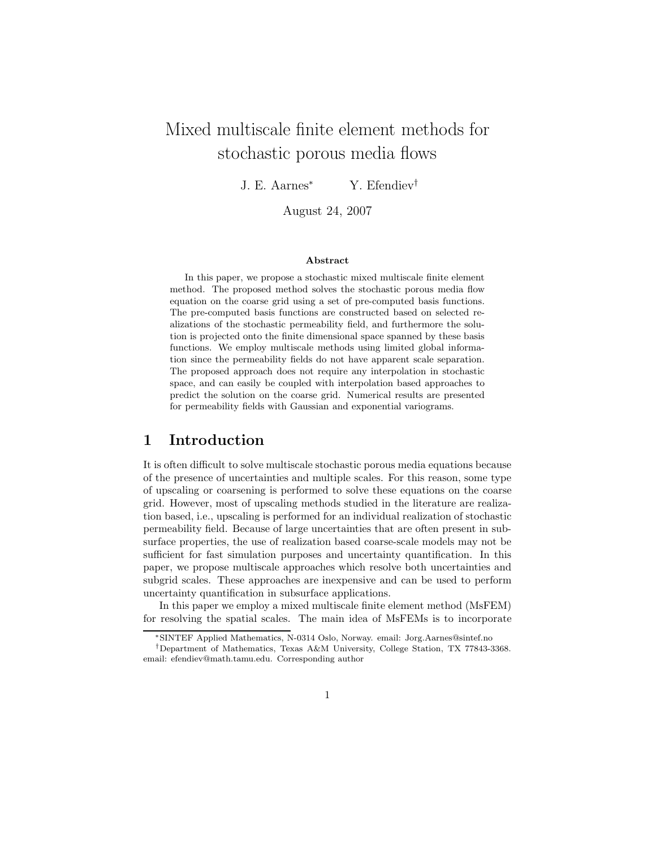# Mixed multiscale finite element methods for stochastic porous media flows

J. E. Aarnes<sup>∗</sup> Y. Efendiev†

August 24, 2007

#### Abstract

In this paper, we propose a stochastic mixed multiscale finite element method. The proposed method solves the stochastic porous media flow equation on the coarse grid using a set of pre-computed basis functions. The pre-computed basis functions are constructed based on selected realizations of the stochastic permeability field, and furthermore the solution is projected onto the finite dimensional space spanned by these basis functions. We employ multiscale methods using limited global information since the permeability fields do not have apparent scale separation. The proposed approach does not require any interpolation in stochastic space, and can easily be coupled with interpolation based approaches to predict the solution on the coarse grid. Numerical results are presented for permeability fields with Gaussian and exponential variograms.

## 1 Introduction

It is often difficult to solve multiscale stochastic porous media equations because of the presence of uncertainties and multiple scales. For this reason, some type of upscaling or coarsening is performed to solve these equations on the coarse grid. However, most of upscaling methods studied in the literature are realization based, i.e., upscaling is performed for an individual realization of stochastic permeability field. Because of large uncertainties that are often present in subsurface properties, the use of realization based coarse-scale models may not be sufficient for fast simulation purposes and uncertainty quantification. In this paper, we propose multiscale approaches which resolve both uncertainties and subgrid scales. These approaches are inexpensive and can be used to perform uncertainty quantification in subsurface applications.

In this paper we employ a mixed multiscale finite element method (MsFEM) for resolving the spatial scales. The main idea of MsFEMs is to incorporate

<sup>∗</sup>SINTEF Applied Mathematics, N-0314 Oslo, Norway. email: Jorg.Aarnes@sintef.no

<sup>†</sup>Department of Mathematics, Texas A&M University, College Station, TX 77843-3368. email: efendiev@math.tamu.edu. Corresponding author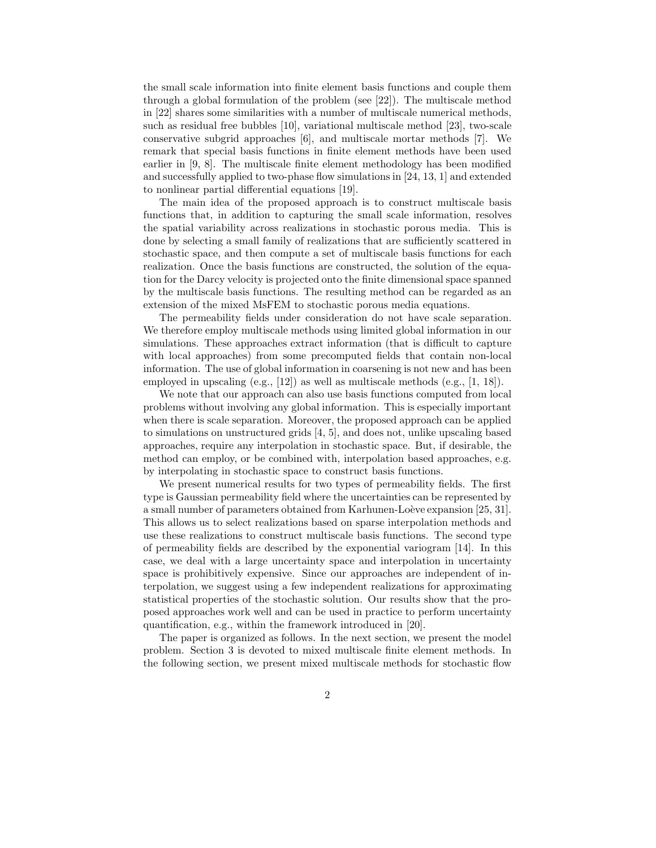the small scale information into finite element basis functions and couple them through a global formulation of the problem (see [22]). The multiscale method in [22] shares some similarities with a number of multiscale numerical methods, such as residual free bubbles [10], variational multiscale method [23], two-scale conservative subgrid approaches [6], and multiscale mortar methods [7]. We remark that special basis functions in finite element methods have been used earlier in [9, 8]. The multiscale finite element methodology has been modified and successfully applied to two-phase flow simulations in [24, 13, 1] and extended to nonlinear partial differential equations [19].

The main idea of the proposed approach is to construct multiscale basis functions that, in addition to capturing the small scale information, resolves the spatial variability across realizations in stochastic porous media. This is done by selecting a small family of realizations that are sufficiently scattered in stochastic space, and then compute a set of multiscale basis functions for each realization. Once the basis functions are constructed, the solution of the equation for the Darcy velocity is projected onto the finite dimensional space spanned by the multiscale basis functions. The resulting method can be regarded as an extension of the mixed MsFEM to stochastic porous media equations.

The permeability fields under consideration do not have scale separation. We therefore employ multiscale methods using limited global information in our simulations. These approaches extract information (that is difficult to capture with local approaches) from some precomputed fields that contain non-local information. The use of global information in coarsening is not new and has been employed in upscaling (e.g., [12]) as well as multiscale methods (e.g., [1, 18]).

We note that our approach can also use basis functions computed from local problems without involving any global information. This is especially important when there is scale separation. Moreover, the proposed approach can be applied to simulations on unstructured grids [4, 5], and does not, unlike upscaling based approaches, require any interpolation in stochastic space. But, if desirable, the method can employ, or be combined with, interpolation based approaches, e.g. by interpolating in stochastic space to construct basis functions.

We present numerical results for two types of permeability fields. The first type is Gaussian permeability field where the uncertainties can be represented by a small number of parameters obtained from Karhunen-Loève expansion [25, 31]. This allows us to select realizations based on sparse interpolation methods and use these realizations to construct multiscale basis functions. The second type of permeability fields are described by the exponential variogram [14]. In this case, we deal with a large uncertainty space and interpolation in uncertainty space is prohibitively expensive. Since our approaches are independent of interpolation, we suggest using a few independent realizations for approximating statistical properties of the stochastic solution. Our results show that the proposed approaches work well and can be used in practice to perform uncertainty quantification, e.g., within the framework introduced in [20].

The paper is organized as follows. In the next section, we present the model problem. Section 3 is devoted to mixed multiscale finite element methods. In the following section, we present mixed multiscale methods for stochastic flow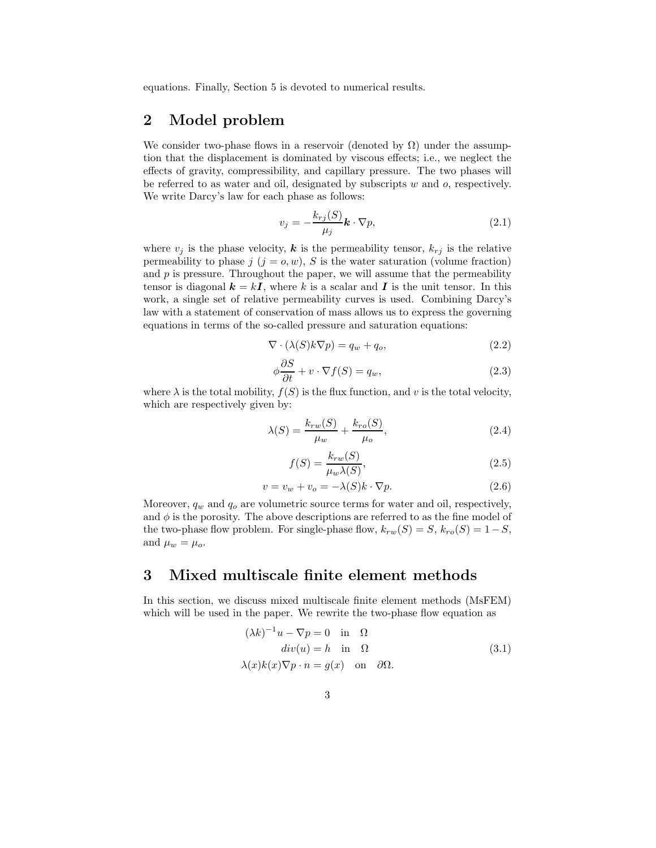equations. Finally, Section 5 is devoted to numerical results.

# 2 Model problem

We consider two-phase flows in a reservoir (denoted by  $\Omega$ ) under the assumption that the displacement is dominated by viscous effects; i.e., we neglect the effects of gravity, compressibility, and capillary pressure. The two phases will be referred to as water and oil, designated by subscripts  $w$  and  $o$ , respectively. We write Darcy's law for each phase as follows:

$$
v_j = -\frac{k_{rj}(S)}{\mu_j} \mathbf{k} \cdot \nabla p,\tag{2.1}
$$

where  $v_j$  is the phase velocity, k is the permeability tensor,  $k_{rj}$  is the relative permeability to phase  $j$   $(j = 0, w)$ , S is the water saturation (volume fraction) and  $p$  is pressure. Throughout the paper, we will assume that the permeability tensor is diagonal  $k = kI$ , where k is a scalar and I is the unit tensor. In this work, a single set of relative permeability curves is used. Combining Darcy's law with a statement of conservation of mass allows us to express the governing equations in terms of the so-called pressure and saturation equations:

$$
\nabla \cdot (\lambda(S)k\nabla p) = q_w + q_o, \qquad (2.2)
$$

$$
\phi \frac{\partial S}{\partial t} + v \cdot \nabla f(S) = q_w, \qquad (2.3)
$$

where  $\lambda$  is the total mobility,  $f(S)$  is the flux function, and v is the total velocity, which are respectively given by:

$$
\lambda(S) = \frac{k_{rw}(S)}{\mu_w} + \frac{k_{ro}(S)}{\mu_o},
$$
\n(2.4)

$$
f(S) = \frac{k_{rw}(S)}{\mu_w \lambda(S)},
$$
\n(2.5)

$$
v = v_w + v_o = -\lambda(S)k \cdot \nabla p.
$$
 (2.6)

Moreover,  $q_w$  and  $q_o$  are volumetric source terms for water and oil, respectively, and  $\phi$  is the porosity. The above descriptions are referred to as the fine model of the two-phase flow problem. For single-phase flow,  $k_{rw}(S) = S$ ,  $k_{ro}(S) = 1-S$ , and  $\mu_w = \mu_o$ .

### 3 Mixed multiscale finite element methods

In this section, we discuss mixed multiscale finite element methods (MsFEM) which will be used in the paper. We rewrite the two-phase flow equation as

$$
(\lambda k)^{-1}u - \nabla p = 0 \quad \text{in} \quad \Omega
$$
  
\n
$$
div(u) = h \quad \text{in} \quad \Omega
$$
  
\n
$$
\lambda(x)k(x)\nabla p \cdot n = g(x) \quad \text{on} \quad \partial\Omega.
$$
  
\n(3.1)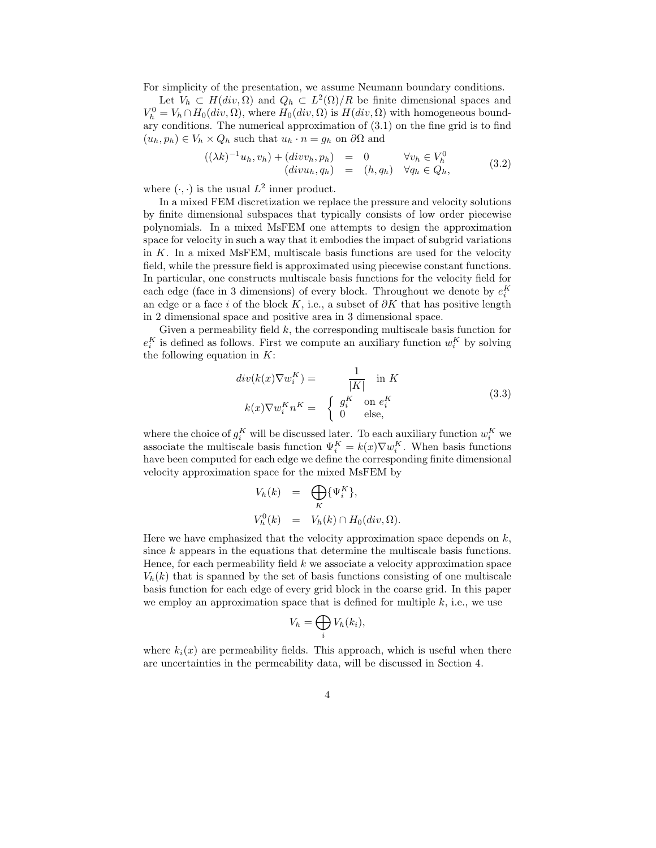For simplicity of the presentation, we assume Neumann boundary conditions.

Let  $V_h \subset H(div, \Omega)$  and  $Q_h \subset L^2(\Omega)/R$  be finite dimensional spaces and  $V_h^0 = V_h \cap H_0(\text{div}, \Omega)$ , where  $H_0(\text{div}, \Omega)$  is  $H(\text{div}, \Omega)$  with homogeneous boundary conditions. The numerical approximation of (3.1) on the fine grid is to find  $(u_h, p_h) \in V_h \times Q_h$  such that  $u_h \cdot n = g_h$  on  $\partial\Omega$  and

$$
((\lambda k)^{-1}u_h, v_h) + (divv_h, p_h) = 0 \qquad \forall v_h \in V_h^0
$$
  
\n
$$
(divu_h, q_h) = (h, q_h) \quad \forall q_h \in Q_h,
$$
\n(3.2)

where  $(\cdot, \cdot)$  is the usual  $L^2$  inner product.

In a mixed FEM discretization we replace the pressure and velocity solutions by finite dimensional subspaces that typically consists of low order piecewise polynomials. In a mixed MsFEM one attempts to design the approximation space for velocity in such a way that it embodies the impact of subgrid variations in  $K$ . In a mixed MsFEM, multiscale basis functions are used for the velocity field, while the pressure field is approximated using piecewise constant functions. In particular, one constructs multiscale basis functions for the velocity field for each edge (face in 3 dimensions) of every block. Throughout we denote by  $e_i^K$ an edge or a face i of the block K, i.e., a subset of  $\partial K$  that has positive length in 2 dimensional space and positive area in 3 dimensional space.

Given a permeability field  $k$ , the corresponding multiscale basis function for  $e_i^K$  is defined as follows. First we compute an auxiliary function  $w_i^K$  by solving the following equation in  $K$ :

$$
div(k(x)\nabla w_i^K) = \frac{1}{|K|} \text{ in } K
$$
  
\n
$$
k(x)\nabla w_i^K n^K = \begin{cases} g_i^K & \text{on } e_i^K \\ 0 & \text{else,} \end{cases}
$$
 (3.3)

where the choice of  $g_i^K$  will be discussed later. To each auxiliary function  $w_i^K$  we associate the multiscale basis function  $\Psi_i^K = k(x) \nabla w_i^K$ . When basis functions have been computed for each edge we define the corresponding finite dimensional velocity approximation space for the mixed MsFEM by

$$
V_h(k) = \bigoplus_K \{ \Psi_i^K \},
$$
  

$$
V_h^0(k) = V_h(k) \cap H_0(div, \Omega).
$$

Here we have emphasized that the velocity approximation space depends on  $k$ , since  $k$  appears in the equations that determine the multiscale basis functions. Hence, for each permeability field  $k$  we associate a velocity approximation space  $V_h(k)$  that is spanned by the set of basis functions consisting of one multiscale basis function for each edge of every grid block in the coarse grid. In this paper we employ an approximation space that is defined for multiple  $k$ , i.e., we use

$$
V_h = \bigoplus_i V_h(k_i),
$$

where  $k_i(x)$  are permeability fields. This approach, which is useful when there are uncertainties in the permeability data, will be discussed in Section 4.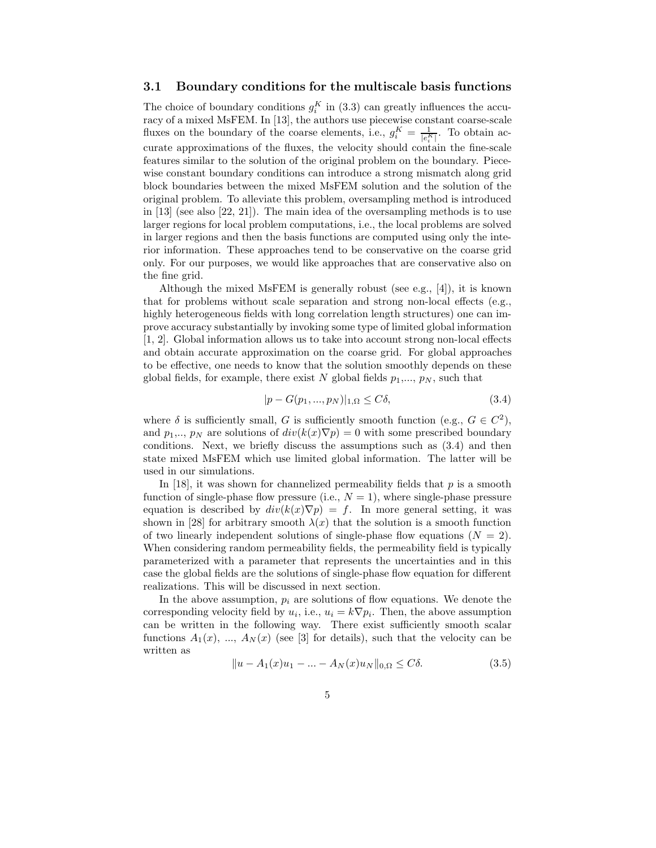#### 3.1 Boundary conditions for the multiscale basis functions

The choice of boundary conditions  $g_i^K$  in (3.3) can greatly influences the accuracy of a mixed MsFEM. In [13], the authors use piecewise constant coarse-scale fluxes on the boundary of the coarse elements, i.e.,  $g_i^K = \frac{1}{|e_i^K|}$ . To obtain accurate approximations of the fluxes, the velocity should contain the fine-scale features similar to the solution of the original problem on the boundary. Piecewise constant boundary conditions can introduce a strong mismatch along grid block boundaries between the mixed MsFEM solution and the solution of the original problem. To alleviate this problem, oversampling method is introduced in  $[13]$  (see also  $[22, 21]$ ). The main idea of the oversampling methods is to use larger regions for local problem computations, i.e., the local problems are solved in larger regions and then the basis functions are computed using only the interior information. These approaches tend to be conservative on the coarse grid only. For our purposes, we would like approaches that are conservative also on the fine grid.

Although the mixed MsFEM is generally robust (see e.g., [4]), it is known that for problems without scale separation and strong non-local effects (e.g., highly heterogeneous fields with long correlation length structures) one can improve accuracy substantially by invoking some type of limited global information [1, 2]. Global information allows us to take into account strong non-local effects and obtain accurate approximation on the coarse grid. For global approaches to be effective, one needs to know that the solution smoothly depends on these global fields, for example, there exist N global fields  $p_1,..., p_N$ , such that

$$
|p - G(p_1, ..., p_N)|_{1, \Omega} \le C\delta,
$$
\n(3.4)

where  $\delta$  is sufficiently small, G is sufficiently smooth function (e.g.,  $G \in C^2$ ), and  $p_1, \ldots, p_N$  are solutions of  $div(k(x)\nabla p) = 0$  with some prescribed boundary conditions. Next, we briefly discuss the assumptions such as (3.4) and then state mixed MsFEM which use limited global information. The latter will be used in our simulations.

In [18], it was shown for channelized permeability fields that  $p$  is a smooth function of single-phase flow pressure (i.e.,  $N = 1$ ), where single-phase pressure equation is described by  $div(k(x)\nabla p) = f$ . In more general setting, it was shown in [28] for arbitrary smooth  $\lambda(x)$  that the solution is a smooth function of two linearly independent solutions of single-phase flow equations  $(N = 2)$ . When considering random permeability fields, the permeability field is typically parameterized with a parameter that represents the uncertainties and in this case the global fields are the solutions of single-phase flow equation for different realizations. This will be discussed in next section.

In the above assumption,  $p_i$  are solutions of flow equations. We denote the corresponding velocity field by  $u_i$ , i.e.,  $u_i = k \nabla p_i$ . Then, the above assumption can be written in the following way. There exist sufficiently smooth scalar functions  $A_1(x)$ , ...,  $A_N(x)$  (see [3] for details), such that the velocity can be written as

$$
||u - A_1(x)u_1 - \dots - A_N(x)u_N||_{0,\Omega} \le C\delta.
$$
 (3.5)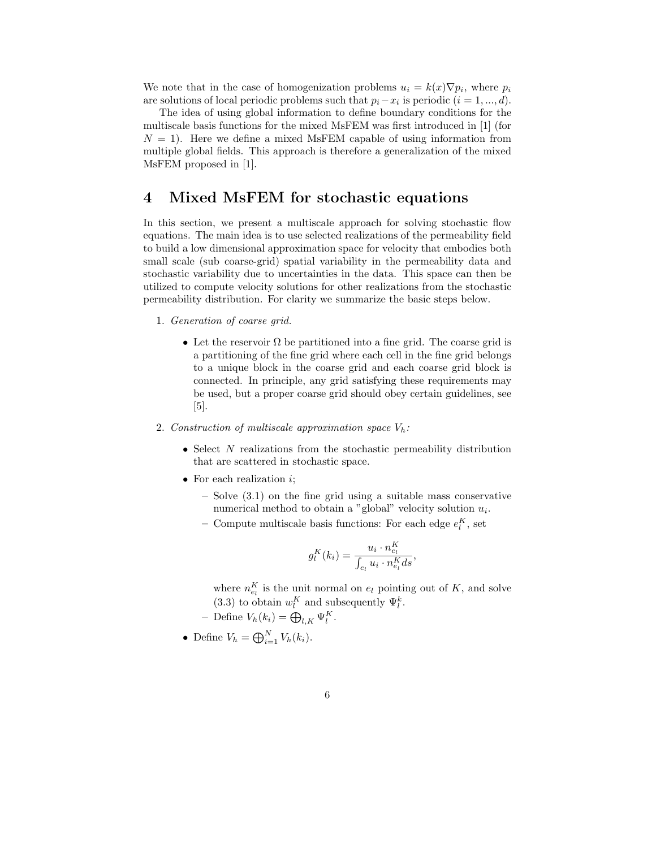We note that in the case of homogenization problems  $u_i = k(x)\nabla p_i$ , where  $p_i$ are solutions of local periodic problems such that  $p_i - x_i$  is periodic  $(i = 1, ..., d)$ .

The idea of using global information to define boundary conditions for the multiscale basis functions for the mixed MsFEM was first introduced in [1] (for  $N = 1$ ). Here we define a mixed MsFEM capable of using information from multiple global fields. This approach is therefore a generalization of the mixed MsFEM proposed in [1].

### 4 Mixed MsFEM for stochastic equations

In this section, we present a multiscale approach for solving stochastic flow equations. The main idea is to use selected realizations of the permeability field to build a low dimensional approximation space for velocity that embodies both small scale (sub coarse-grid) spatial variability in the permeability data and stochastic variability due to uncertainties in the data. This space can then be utilized to compute velocity solutions for other realizations from the stochastic permeability distribution. For clarity we summarize the basic steps below.

- 1. Generation of coarse grid.
	- Let the reservoir  $\Omega$  be partitioned into a fine grid. The coarse grid is a partitioning of the fine grid where each cell in the fine grid belongs to a unique block in the coarse grid and each coarse grid block is connected. In principle, any grid satisfying these requirements may be used, but a proper coarse grid should obey certain guidelines, see [5].
- 2. Construction of multiscale approximation space  $V_h$ :
	- Select  $N$  realizations from the stochastic permeability distribution that are scattered in stochastic space.
	- For each realization  $i$ ;
		- Solve (3.1) on the fine grid using a suitable mass conservative numerical method to obtain a "global" velocity solution  $u_i$ .
		- $-$  Compute multiscale basis functions: For each edge  $e_l^K,$  set

$$
g_l^K(k_i) = \frac{u_i \cdot n_{e_l}^K}{\int_{e_l} u_i \cdot n_{e_l}^K ds},
$$

where  $n_{e_l}^K$  is the unit normal on  $e_l$  pointing out of K, and solve (3.3) to obtain  $w_l^K$  and subsequently  $\Psi_l^k$ .

- Define  $V_h(k_i) = \bigoplus_{l,K} \Psi_l^K$ .

• Define  $V_h = \bigoplus_{i=1}^N V_h(k_i)$ .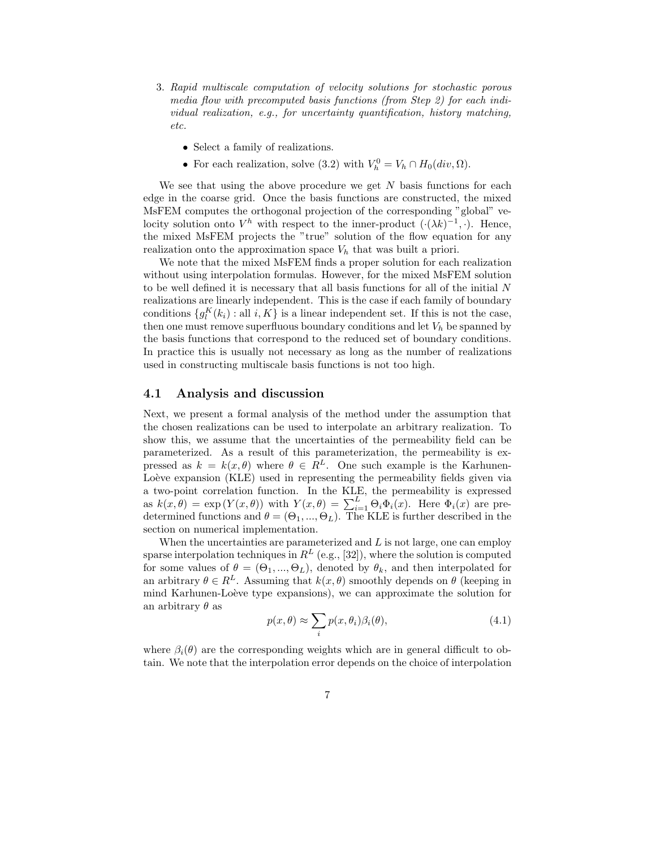- 3. Rapid multiscale computation of velocity solutions for stochastic porous media flow with precomputed basis functions (from Step 2) for each individual realization, e.g., for uncertainty quantification, history matching, etc.
	- Select a family of realizations.
	- For each realization, solve (3.2) with  $V_h^0 = V_h \cap H_0(\text{div}, \Omega)$ .

We see that using the above procedure we get  $N$  basis functions for each edge in the coarse grid. Once the basis functions are constructed, the mixed MsFEM computes the orthogonal projection of the corresponding "global" velocity solution onto  $V^h$  with respect to the inner-product  $(\cdot(\lambda k)^{-1}, \cdot)$ . Hence, the mixed MsFEM projects the "true" solution of the flow equation for any realization onto the approximation space  $V<sub>h</sub>$  that was built a priori.

We note that the mixed MsFEM finds a proper solution for each realization without using interpolation formulas. However, for the mixed MsFEM solution to be well defined it is necessary that all basis functions for all of the initial  $N$ realizations are linearly independent. This is the case if each family of boundary conditions  $\{g_l^K(k_i):$  all  $i, K\}$  is a linear independent set. If this is not the case, then one must remove superfluous boundary conditions and let  $V_h$  be spanned by the basis functions that correspond to the reduced set of boundary conditions. In practice this is usually not necessary as long as the number of realizations used in constructing multiscale basis functions is not too high.

### 4.1 Analysis and discussion

Next, we present a formal analysis of the method under the assumption that the chosen realizations can be used to interpolate an arbitrary realization. To show this, we assume that the uncertainties of the permeability field can be parameterized. As a result of this parameterization, the permeability is expressed as  $k = k(x, \theta)$  where  $\theta \in R^L$ . One such example is the Karhunen-Loève expansion (KLE) used in representing the permeability fields given via a two-point correlation function. In the KLE, the permeability is expressed as  $k(x, \theta) = \exp(Y(x, \theta))$  with  $Y(x, \theta) = \sum_{i=1}^{L} \Theta_i \Phi_i(x)$ . Here  $\Phi_i(x)$  are predetermined functions and  $\theta = (\Theta_1, ..., \Theta_L)$ . The KLE is further described in the section on numerical implementation.

When the uncertainties are parameterized and  $L$  is not large, one can employ sparse interpolation techniques in  $R<sup>L</sup>$  (e.g., [32]), where the solution is computed for some values of  $\theta = (\Theta_1, ..., \Theta_L)$ , denoted by  $\theta_k$ , and then interpolated for an arbitrary  $\theta \in R^L$ . Assuming that  $k(x, \theta)$  smoothly depends on  $\theta$  (keeping in mind Karhunen-Loève type expansions), we can approximate the solution for an arbitrary  $\theta$  as

$$
p(x,\theta) \approx \sum_{i} p(x,\theta_i)\beta_i(\theta),\tag{4.1}
$$

where  $\beta_i(\theta)$  are the corresponding weights which are in general difficult to obtain. We note that the interpolation error depends on the choice of interpolation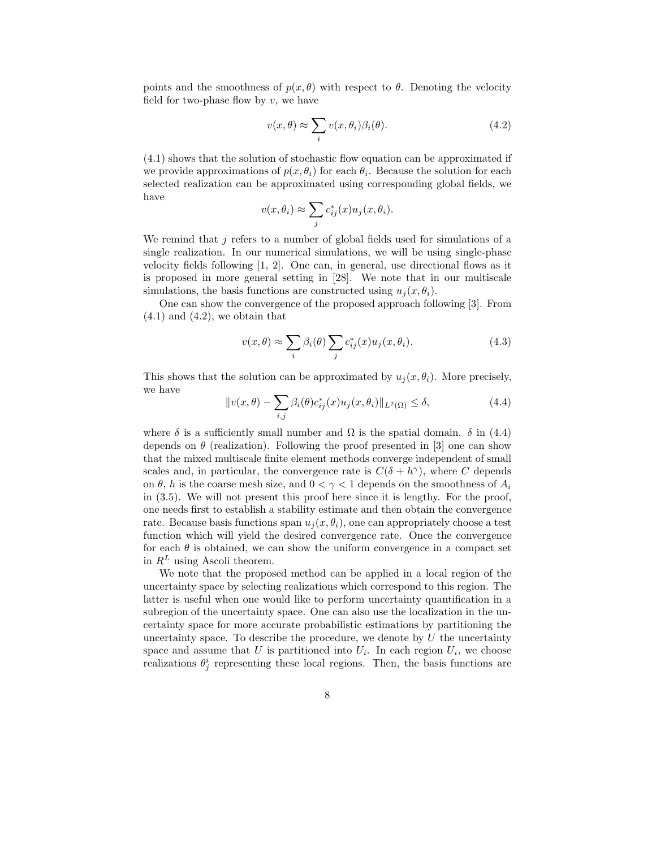points and the smoothness of  $p(x, \theta)$  with respect to  $\theta$ . Denoting the velocity field for two-phase flow by  $v$ , we have

$$
v(x,\theta) \approx \sum_{i} v(x,\theta_i)\beta_i(\theta). \tag{4.2}
$$

(4.1) shows that the solution of stochastic flow equation can be approximated if we provide approximations of  $p(x, \theta_i)$  for each  $\theta_i$ . Because the solution for each selected realization can be approximated using corresponding global fields, we have

$$
v(x, \theta_i) \approx \sum_j c_{ij}^*(x) u_j(x, \theta_i).
$$

We remind that  $j$  refers to a number of global fields used for simulations of a single realization. In our numerical simulations, we will be using single-phase velocity fields following [1, 2]. One can, in general, use directional flows as it is proposed in more general setting in [28]. We note that in our multiscale simulations, the basis functions are constructed using  $u_i(x, \theta_i)$ .

One can show the convergence of the proposed approach following [3]. From  $(4.1)$  and  $(4.2)$ , we obtain that

$$
v(x,\theta) \approx \sum_{i} \beta_i(\theta) \sum_{j} c_{ij}^*(x) u_j(x,\theta_i). \tag{4.3}
$$

This shows that the solution can be approximated by  $u_i(x, \theta_i)$ . More precisely, we have

$$
||v(x,\theta) - \sum_{i,j} \beta_i(\theta) c_{ij}^*(x) u_j(x,\theta_i)||_{L^2(\Omega)} \le \delta,
$$
\n(4.4)

where  $\delta$  is a sufficiently small number and  $\Omega$  is the spatial domain.  $\delta$  in (4.4) depends on  $\theta$  (realization). Following the proof presented in [3] one can show that the mixed multiscale finite element methods converge independent of small scales and, in particular, the convergence rate is  $C(\delta + h^{\gamma})$ , where C depends on  $\theta$ , h is the coarse mesh size, and  $0 < \gamma < 1$  depends on the smoothness of  $A_i$ in (3.5). We will not present this proof here since it is lengthy. For the proof, one needs first to establish a stability estimate and then obtain the convergence rate. Because basis functions span  $u_i(x, \theta_i)$ , one can appropriately choose a test function which will yield the desired convergence rate. Once the convergence for each  $\theta$  is obtained, we can show the uniform convergence in a compact set in  $R^L$  using Ascoli theorem.

We note that the proposed method can be applied in a local region of the uncertainty space by selecting realizations which correspond to this region. The latter is useful when one would like to perform uncertainty quantification in a subregion of the uncertainty space. One can also use the localization in the uncertainty space for more accurate probabilistic estimations by partitioning the uncertainty space. To describe the procedure, we denote by  $U$  the uncertainty space and assume that U is partitioned into  $U_i$ . In each region  $U_i$ , we choose realizations  $\theta_j^i$  representing these local regions. Then, the basis functions are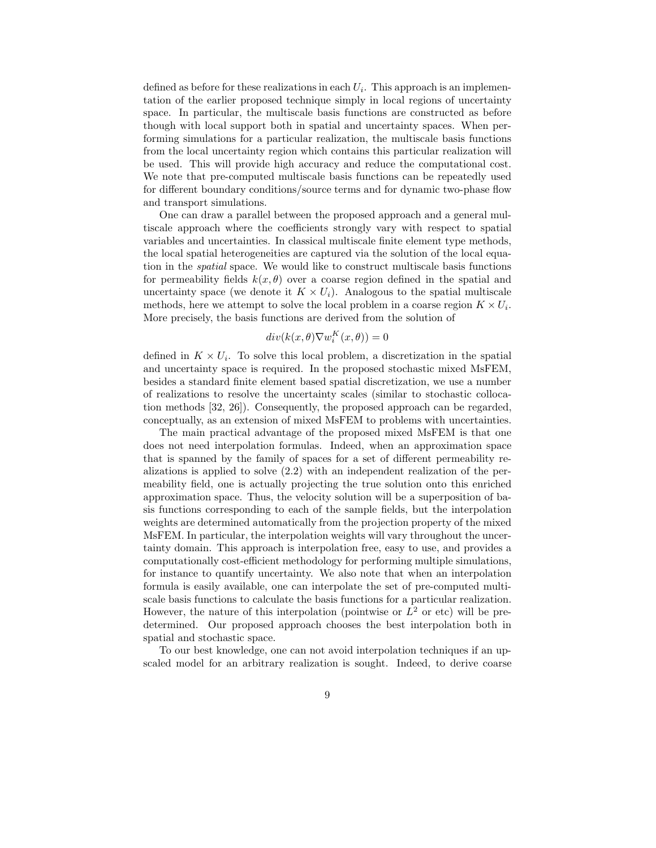defined as before for these realizations in each  $U_i$ . This approach is an implementation of the earlier proposed technique simply in local regions of uncertainty space. In particular, the multiscale basis functions are constructed as before though with local support both in spatial and uncertainty spaces. When performing simulations for a particular realization, the multiscale basis functions from the local uncertainty region which contains this particular realization will be used. This will provide high accuracy and reduce the computational cost. We note that pre-computed multiscale basis functions can be repeatedly used for different boundary conditions/source terms and for dynamic two-phase flow and transport simulations.

One can draw a parallel between the proposed approach and a general multiscale approach where the coefficients strongly vary with respect to spatial variables and uncertainties. In classical multiscale finite element type methods, the local spatial heterogeneities are captured via the solution of the local equation in the spatial space. We would like to construct multiscale basis functions for permeability fields  $k(x, \theta)$  over a coarse region defined in the spatial and uncertainty space (we denote it  $K \times U_i$ ). Analogous to the spatial multiscale methods, here we attempt to solve the local problem in a coarse region  $K \times U_i$ . More precisely, the basis functions are derived from the solution of

$$
div(k(x, \theta)\nabla w_i^K(x, \theta)) = 0
$$

defined in  $K \times U_i$ . To solve this local problem, a discretization in the spatial and uncertainty space is required. In the proposed stochastic mixed MsFEM, besides a standard finite element based spatial discretization, we use a number of realizations to resolve the uncertainty scales (similar to stochastic collocation methods [32, 26]). Consequently, the proposed approach can be regarded, conceptually, as an extension of mixed MsFEM to problems with uncertainties.

The main practical advantage of the proposed mixed MsFEM is that one does not need interpolation formulas. Indeed, when an approximation space that is spanned by the family of spaces for a set of different permeability realizations is applied to solve (2.2) with an independent realization of the permeability field, one is actually projecting the true solution onto this enriched approximation space. Thus, the velocity solution will be a superposition of basis functions corresponding to each of the sample fields, but the interpolation weights are determined automatically from the projection property of the mixed MsFEM. In particular, the interpolation weights will vary throughout the uncertainty domain. This approach is interpolation free, easy to use, and provides a computationally cost-efficient methodology for performing multiple simulations, for instance to quantify uncertainty. We also note that when an interpolation formula is easily available, one can interpolate the set of pre-computed multiscale basis functions to calculate the basis functions for a particular realization. However, the nature of this interpolation (pointwise or  $L^2$  or etc) will be predetermined. Our proposed approach chooses the best interpolation both in spatial and stochastic space.

To our best knowledge, one can not avoid interpolation techniques if an upscaled model for an arbitrary realization is sought. Indeed, to derive coarse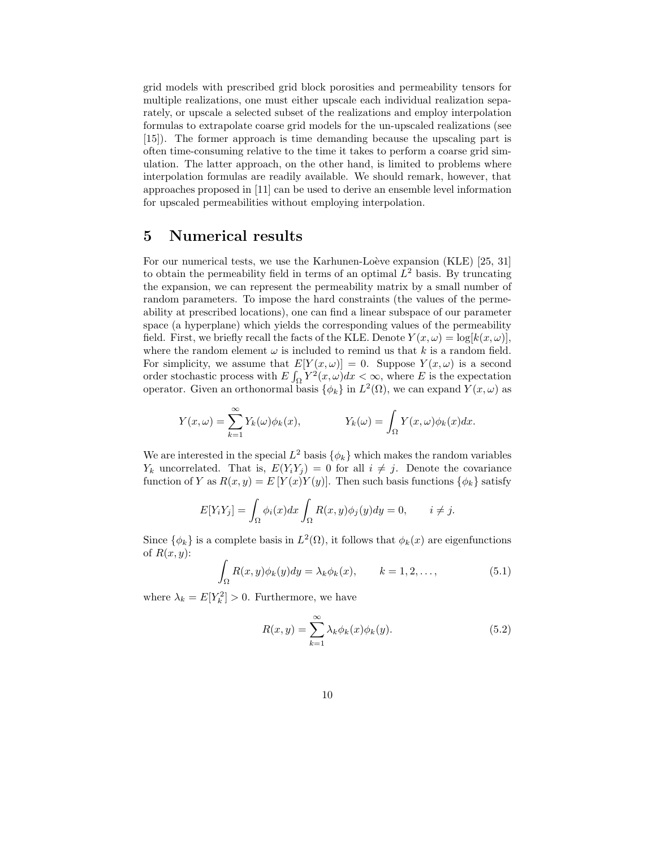grid models with prescribed grid block porosities and permeability tensors for multiple realizations, one must either upscale each individual realization separately, or upscale a selected subset of the realizations and employ interpolation formulas to extrapolate coarse grid models for the un-upscaled realizations (see [15]). The former approach is time demanding because the upscaling part is often time-consuming relative to the time it takes to perform a coarse grid simulation. The latter approach, on the other hand, is limited to problems where interpolation formulas are readily available. We should remark, however, that approaches proposed in [11] can be used to derive an ensemble level information for upscaled permeabilities without employing interpolation.

# 5 Numerical results

For our numerical tests, we use the Karhunen-Loève expansion  $(KLE)$  [25, 31] to obtain the permeability field in terms of an optimal  $L^2$  basis. By truncating the expansion, we can represent the permeability matrix by a small number of random parameters. To impose the hard constraints (the values of the permeability at prescribed locations), one can find a linear subspace of our parameter space (a hyperplane) which yields the corresponding values of the permeability field. First, we briefly recall the facts of the KLE. Denote  $Y(x, \omega) = \log[k(x, \omega)]$ , where the random element  $\omega$  is included to remind us that k is a random field. For simplicity, we assume that  $E[Y(x, \omega)] = 0$ . Suppose  $Y(x, \omega)$  is a second order stochastic process with  $E \int_{\Omega} Y^2(x,\omega) dx < \infty$ , where E is the expectation operator. Given an orthonormal basis  $\{\phi_k\}$  in  $L^2(\Omega)$ , we can expand  $Y(x,\omega)$  as

$$
Y(x,\omega) = \sum_{k=1}^{\infty} Y_k(\omega) \phi_k(x), \qquad Y_k(\omega) = \int_{\Omega} Y(x,\omega) \phi_k(x) dx.
$$

We are interested in the special  $L^2$  basis  $\{\phi_k\}$  which makes the random variables  $Y_k$  uncorrelated. That is,  $E(Y_i Y_j) = 0$  for all  $i \neq j$ . Denote the covariance function of Y as  $R(x, y) = E[Y(x)Y(y)]$ . Then such basis functions  $\{\phi_k\}$  satisfy

$$
E[Y_iY_j] = \int_{\Omega} \phi_i(x) dx \int_{\Omega} R(x, y)\phi_j(y) dy = 0, \quad i \neq j.
$$

Since  $\{\phi_k\}$  is a complete basis in  $L^2(\Omega)$ , it follows that  $\phi_k(x)$  are eigenfunctions of  $R(x, y)$ :

$$
\int_{\Omega} R(x, y)\phi_k(y)dy = \lambda_k \phi_k(x), \qquad k = 1, 2, \dots,
$$
\n(5.1)

where  $\lambda_k = E[Y_k^2] > 0$ . Furthermore, we have

$$
R(x,y) = \sum_{k=1}^{\infty} \lambda_k \phi_k(x) \phi_k(y).
$$
 (5.2)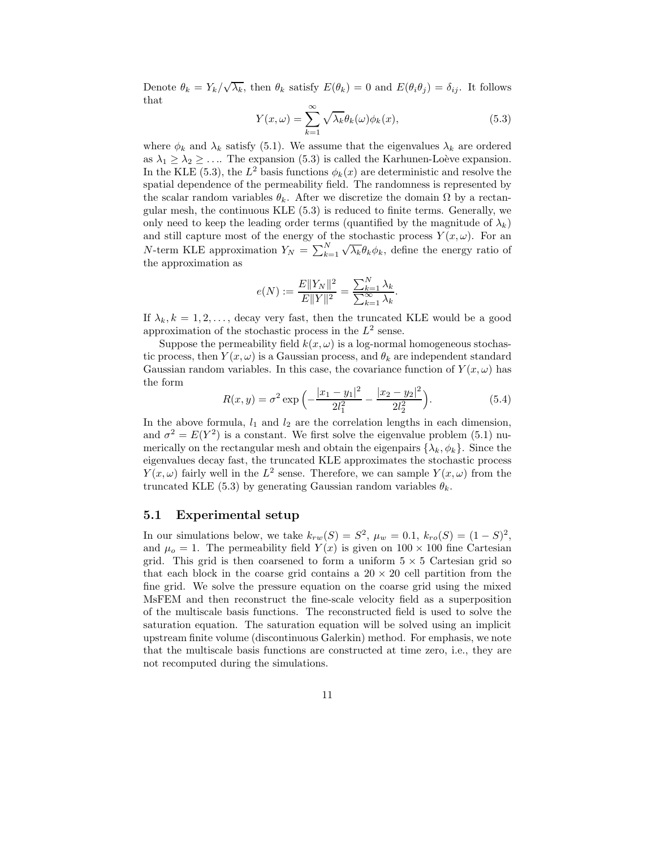Denote  $\theta_k = Y_k/\sqrt{\lambda_k}$ , then  $\theta_k$  satisfy  $E(\theta_k) = 0$  and  $E(\theta_i \theta_j) = \delta_{ij}$ . It follows that

$$
Y(x,\omega) = \sum_{k=1}^{\infty} \sqrt{\lambda_k} \theta_k(\omega) \phi_k(x), \qquad (5.3)
$$

where  $\phi_k$  and  $\lambda_k$  satisfy (5.1). We assume that the eigenvalues  $\lambda_k$  are ordered as  $\lambda_1 \geq \lambda_2 \geq \ldots$  The expansion (5.3) is called the Karhunen-Loève expansion. In the KLE (5.3), the  $L^2$  basis functions  $\phi_k(x)$  are deterministic and resolve the spatial dependence of the permeability field. The randomness is represented by the scalar random variables  $\theta_k$ . After we discretize the domain  $\Omega$  by a rectangular mesh, the continuous KLE (5.3) is reduced to finite terms. Generally, we only need to keep the leading order terms (quantified by the magnitude of  $\lambda_k$ ) and still capture most of the energy of the stochastic process  $Y(x, \omega)$ . For an *N*-term KLE approximation  $Y_N = \sum_{k=1}^N \sqrt{\lambda_k} \theta_k \phi_k$ , define the energy ratio of the approximation as

$$
e(N) := \frac{E\|Y_N\|^2}{E\|Y\|^2} = \frac{\sum_{k=1}^N \lambda_k}{\sum_{k=1}^\infty \lambda_k}.
$$

If  $\lambda_k, k = 1, 2, \ldots$ , decay very fast, then the truncated KLE would be a good approximation of the stochastic process in the  $L^2$  sense.

Suppose the permeability field  $k(x, \omega)$  is a log-normal homogeneous stochastic process, then  $Y(x, \omega)$  is a Gaussian process, and  $\theta_k$  are independent standard Gaussian random variables. In this case, the covariance function of  $Y(x, \omega)$  has the form

$$
R(x,y) = \sigma^2 \exp\left(-\frac{|x_1 - y_1|^2}{2l_1^2} - \frac{|x_2 - y_2|^2}{2l_2^2}\right).
$$
 (5.4)

In the above formula,  $l_1$  and  $l_2$  are the correlation lengths in each dimension, and  $\sigma^2 = E(Y^2)$  is a constant. We first solve the eigenvalue problem (5.1) numerically on the rectangular mesh and obtain the eigenpairs  $\{\lambda_k, \phi_k\}$ . Since the eigenvalues decay fast, the truncated KLE approximates the stochastic process  $Y(x, \omega)$  fairly well in the  $L^2$  sense. Therefore, we can sample  $Y(x, \omega)$  from the truncated KLE (5.3) by generating Gaussian random variables  $\theta_k$ .

### 5.1 Experimental setup

In our simulations below, we take  $k_{rw}(S) = S^2$ ,  $\mu_w = 0.1$ ,  $k_{ro}(S) = (1 - S)^2$ , and  $\mu_0 = 1$ . The permeability field  $Y(x)$  is given on  $100 \times 100$  fine Cartesian grid. This grid is then coarsened to form a uniform  $5 \times 5$  Cartesian grid so that each block in the coarse grid contains a  $20 \times 20$  cell partition from the fine grid. We solve the pressure equation on the coarse grid using the mixed MsFEM and then reconstruct the fine-scale velocity field as a superposition of the multiscale basis functions. The reconstructed field is used to solve the saturation equation. The saturation equation will be solved using an implicit upstream finite volume (discontinuous Galerkin) method. For emphasis, we note that the multiscale basis functions are constructed at time zero, i.e., they are not recomputed during the simulations.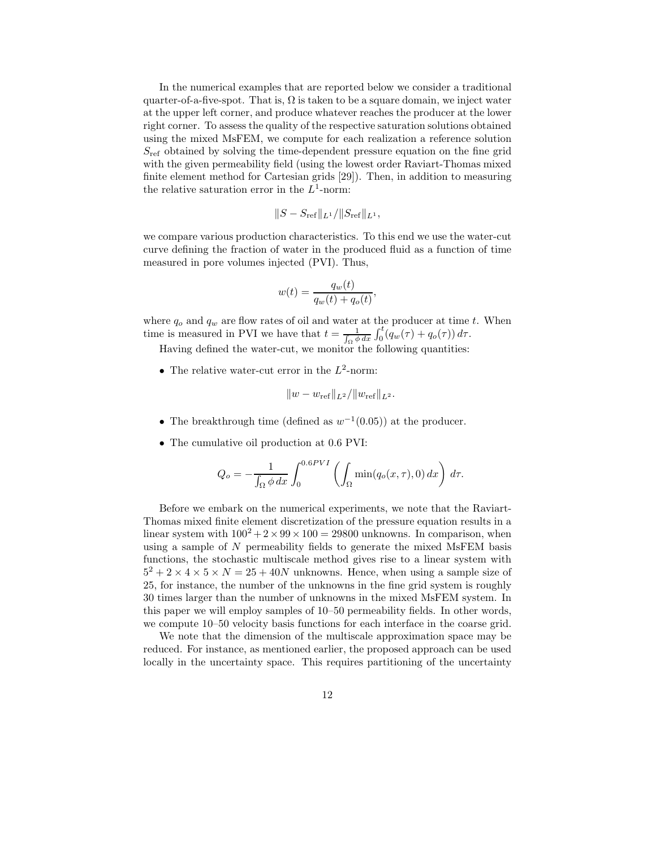In the numerical examples that are reported below we consider a traditional quarter-of-a-five-spot. That is,  $\Omega$  is taken to be a square domain, we inject water at the upper left corner, and produce whatever reaches the producer at the lower right corner. To assess the quality of the respective saturation solutions obtained using the mixed MsFEM, we compute for each realization a reference solution  $S_{\text{ref}}$  obtained by solving the time-dependent pressure equation on the fine grid with the given permeability field (using the lowest order Raviart-Thomas mixed finite element method for Cartesian grids [29]). Then, in addition to measuring the relative saturation error in the  $L^1$ -norm:

$$
||S - S_{\text{ref}}||_{L^1}/||S_{\text{ref}}||_{L^1},
$$

we compare various production characteristics. To this end we use the water-cut curve defining the fraction of water in the produced fluid as a function of time measured in pore volumes injected (PVI). Thus,

$$
w(t) = \frac{q_w(t)}{q_w(t) + q_o(t)},
$$

where  $q_o$  and  $q_w$  are flow rates of oil and water at the producer at time t. When time is measured in PVI we have that  $t = \frac{1}{\int_{\Omega} \phi \, dx} \int_0^t (q_w(\tau) + q_o(\tau)) \, d\tau$ .

Having defined the water-cut, we monitor the following quantities:

• The relative water-cut error in the  $L^2$ -norm:

$$
||w-w_{\text{ref}}||_{L^2}/||w_{\text{ref}}||_{L^2}.
$$

- The breakthrough time (defined as  $w^{-1}(0.05)$ ) at the producer.
- The cumulative oil production at 0.6 PVI:

$$
Q_o = -\frac{1}{\int_{\Omega} \phi \, dx} \int_0^{0.6PVI} \left( \int_{\Omega} \min(q_o(x, \tau), 0) \, dx \right) \, d\tau.
$$

Before we embark on the numerical experiments, we note that the Raviart-Thomas mixed finite element discretization of the pressure equation results in a linear system with  $100^2 + 2 \times 99 \times 100 = 29800$  unknowns. In comparison, when using a sample of  $N$  permeability fields to generate the mixed MsFEM basis functions, the stochastic multiscale method gives rise to a linear system with  $5^2 + 2 \times 4 \times 5 \times N = 25 + 40N$  unknowns. Hence, when using a sample size of 25, for instance, the number of the unknowns in the fine grid system is roughly 30 times larger than the number of unknowns in the mixed MsFEM system. In this paper we will employ samples of 10–50 permeability fields. In other words, we compute 10–50 velocity basis functions for each interface in the coarse grid.

We note that the dimension of the multiscale approximation space may be reduced. For instance, as mentioned earlier, the proposed approach can be used locally in the uncertainty space. This requires partitioning of the uncertainty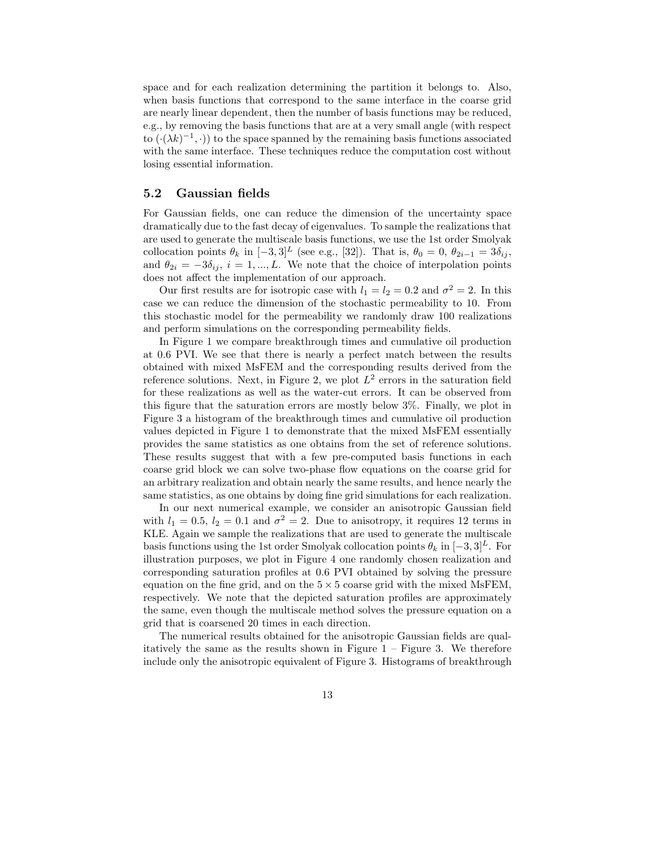space and for each realization determining the partition it belongs to. Also, when basis functions that correspond to the same interface in the coarse grid are nearly linear dependent, then the number of basis functions may be reduced, e.g., by removing the basis functions that are at a very small angle (with respect to  $(\cdot(\lambda k)^{-1}, \cdot)$  to the space spanned by the remaining basis functions associated with the same interface. These techniques reduce the computation cost without losing essential information.

### 5.2 Gaussian fields

For Gaussian fields, one can reduce the dimension of the uncertainty space dramatically due to the fast decay of eigenvalues. To sample the realizations that are used to generate the multiscale basis functions, we use the 1st order Smolyak collocation points  $\theta_k$  in  $[-3, 3]^L$  (see e.g., [32]). That is,  $\theta_0 = 0$ ,  $\theta_{2i-1} = 3\delta_{ij}$ , and  $\theta_{2i} = -3\delta_{ij}, i = 1, ..., L$ . We note that the choice of interpolation points does not affect the implementation of our approach.

Our first results are for isotropic case with  $l_1 = l_2 = 0.2$  and  $\sigma^2 = 2$ . In this case we can reduce the dimension of the stochastic permeability to 10. From this stochastic model for the permeability we randomly draw 100 realizations and perform simulations on the corresponding permeability fields.

In Figure 1 we compare breakthrough times and cumulative oil production at 0.6 PVI. We see that there is nearly a perfect match between the results obtained with mixed MsFEM and the corresponding results derived from the reference solutions. Next, in Figure 2, we plot  $L^2$  errors in the saturation field for these realizations as well as the water-cut errors. It can be observed from this figure that the saturation errors are mostly below 3%. Finally, we plot in Figure 3 a histogram of the breakthrough times and cumulative oil production values depicted in Figure 1 to demonstrate that the mixed MsFEM essentially provides the same statistics as one obtains from the set of reference solutions. These results suggest that with a few pre-computed basis functions in each coarse grid block we can solve two-phase flow equations on the coarse grid for an arbitrary realization and obtain nearly the same results, and hence nearly the same statistics, as one obtains by doing fine grid simulations for each realization.

In our next numerical example, we consider an anisotropic Gaussian field with  $l_1 = 0.5$ ,  $l_2 = 0.1$  and  $\sigma^2 = 2$ . Due to anisotropy, it requires 12 terms in KLE. Again we sample the realizations that are used to generate the multiscale basis functions using the 1st order Smolyak collocation points  $\theta_k$  in  $[-3, 3]^L$ . For illustration purposes, we plot in Figure 4 one randomly chosen realization and corresponding saturation profiles at 0.6 PVI obtained by solving the pressure equation on the fine grid, and on the  $5 \times 5$  coarse grid with the mixed MsFEM, respectively. We note that the depicted saturation profiles are approximately the same, even though the multiscale method solves the pressure equation on a grid that is coarsened 20 times in each direction.

The numerical results obtained for the anisotropic Gaussian fields are qualitatively the same as the results shown in Figure  $1 -$  Figure 3. We therefore include only the anisotropic equivalent of Figure 3. Histograms of breakthrough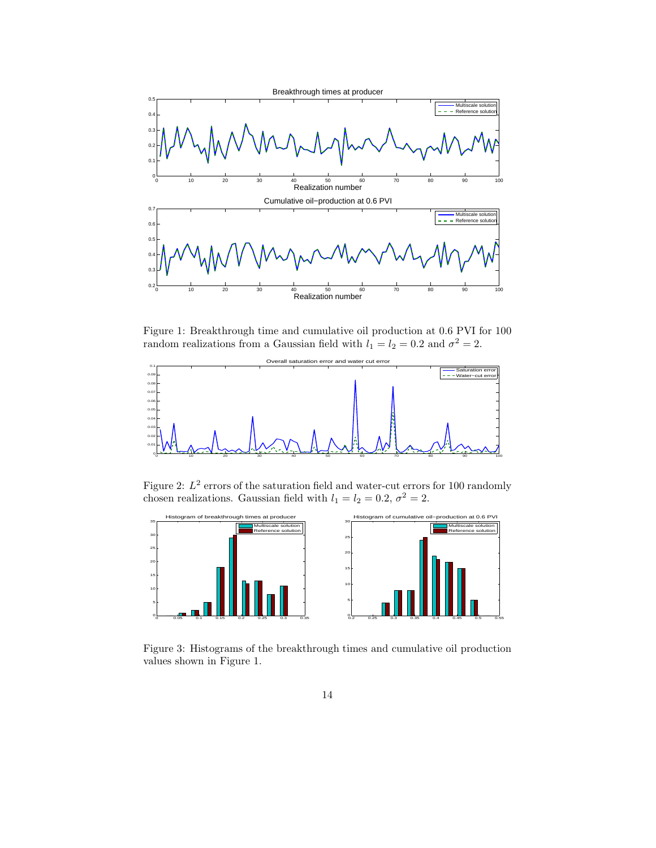

Figure 1: Breakthrough time and cumulative oil production at 0.6 PVI for 100 random realizations from a Gaussian field with  $l_1 = l_2 = 0.2$  and  $\sigma^2 = 2$ .



Figure 2:  $L^2$  errors of the saturation field and water-cut errors for 100 randomly chosen realizations. Gaussian field with  $l_1 = l_2 = 0.2, \sigma^2 = 2$ .





Figure 3: Histograms of the breakthrough times and cumulative oil production values shown in Figure 1.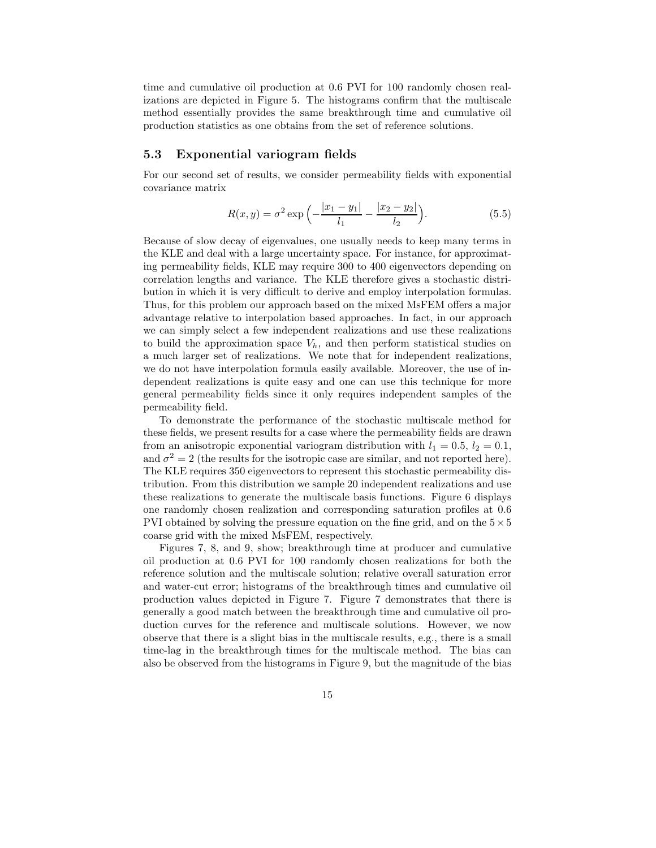time and cumulative oil production at 0.6 PVI for 100 randomly chosen realizations are depicted in Figure 5. The histograms confirm that the multiscale method essentially provides the same breakthrough time and cumulative oil production statistics as one obtains from the set of reference solutions.

### 5.3 Exponential variogram fields

For our second set of results, we consider permeability fields with exponential covariance matrix

$$
R(x,y) = \sigma^2 \exp\left(-\frac{|x_1 - y_1|}{l_1} - \frac{|x_2 - y_2|}{l_2}\right).
$$
 (5.5)

Because of slow decay of eigenvalues, one usually needs to keep many terms in the KLE and deal with a large uncertainty space. For instance, for approximating permeability fields, KLE may require 300 to 400 eigenvectors depending on correlation lengths and variance. The KLE therefore gives a stochastic distribution in which it is very difficult to derive and employ interpolation formulas. Thus, for this problem our approach based on the mixed MsFEM offers a major advantage relative to interpolation based approaches. In fact, in our approach we can simply select a few independent realizations and use these realizations to build the approximation space  $V_h$ , and then perform statistical studies on a much larger set of realizations. We note that for independent realizations, we do not have interpolation formula easily available. Moreover, the use of independent realizations is quite easy and one can use this technique for more general permeability fields since it only requires independent samples of the permeability field.

To demonstrate the performance of the stochastic multiscale method for these fields, we present results for a case where the permeability fields are drawn from an anisotropic exponential variogram distribution with  $l_1 = 0.5$ ,  $l_2 = 0.1$ , and  $\sigma^2 = 2$  (the results for the isotropic case are similar, and not reported here). The KLE requires 350 eigenvectors to represent this stochastic permeability distribution. From this distribution we sample 20 independent realizations and use these realizations to generate the multiscale basis functions. Figure 6 displays one randomly chosen realization and corresponding saturation profiles at 0.6 PVI obtained by solving the pressure equation on the fine grid, and on the  $5 \times 5$ coarse grid with the mixed MsFEM, respectively.

Figures 7, 8, and 9, show; breakthrough time at producer and cumulative oil production at 0.6 PVI for 100 randomly chosen realizations for both the reference solution and the multiscale solution; relative overall saturation error and water-cut error; histograms of the breakthrough times and cumulative oil production values depicted in Figure 7. Figure 7 demonstrates that there is generally a good match between the breakthrough time and cumulative oil production curves for the reference and multiscale solutions. However, we now observe that there is a slight bias in the multiscale results, e.g., there is a small time-lag in the breakthrough times for the multiscale method. The bias can also be observed from the histograms in Figure 9, but the magnitude of the bias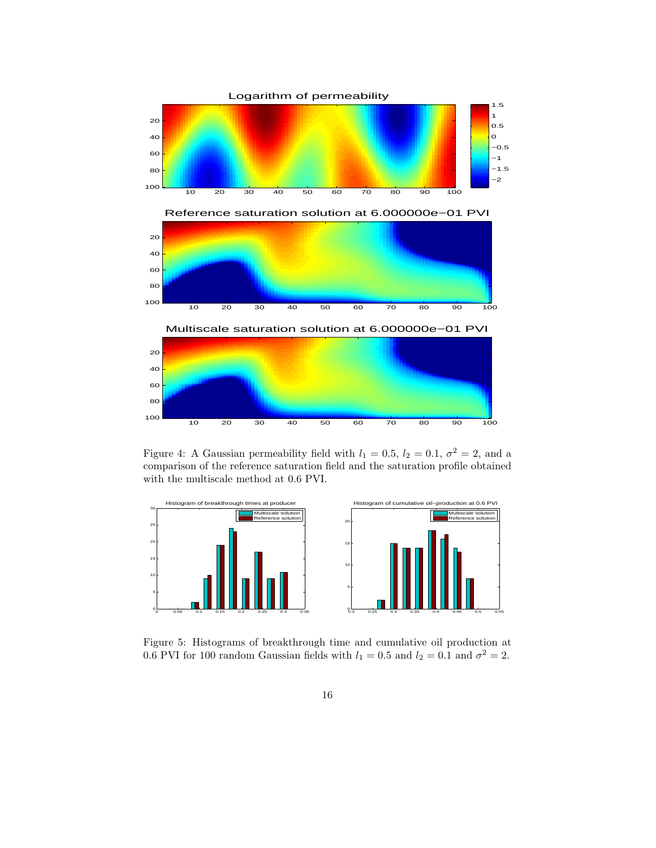

Figure 4: A Gaussian permeability field with  $l_1 = 0.5$ ,  $l_2 = 0.1$ ,  $\sigma^2 = 2$ , and a comparison of the reference saturation field and the saturation profile obtained with the multiscale method at 0.6 PVI.



Figure 5: Histograms of breakthrough time and cumulative oil production at 0.6 PVI for 100 random Gaussian fields with  $l_1 = 0.5$  and  $l_2 = 0.1$  and  $\sigma^2 = 2$ .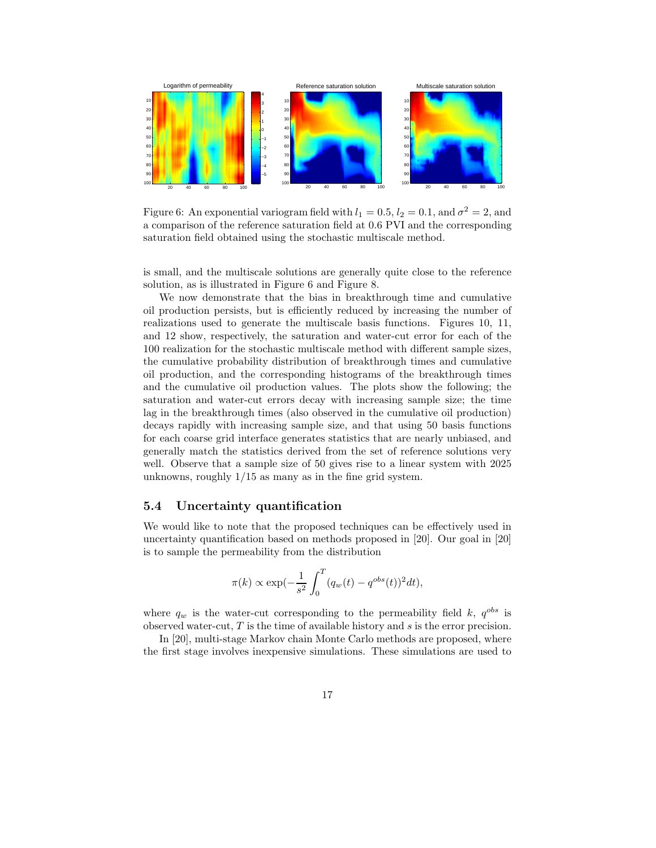

Figure 6: An exponential variogram field with  $l_1 = 0.5$ ,  $l_2 = 0.1$ , and  $\sigma^2 = 2$ , and a comparison of the reference saturation field at 0.6 PVI and the corresponding saturation field obtained using the stochastic multiscale method.

is small, and the multiscale solutions are generally quite close to the reference solution, as is illustrated in Figure 6 and Figure 8.

We now demonstrate that the bias in breakthrough time and cumulative oil production persists, but is efficiently reduced by increasing the number of realizations used to generate the multiscale basis functions. Figures 10, 11, and 12 show, respectively, the saturation and water-cut error for each of the 100 realization for the stochastic multiscale method with different sample sizes, the cumulative probability distribution of breakthrough times and cumulative oil production, and the corresponding histograms of the breakthrough times and the cumulative oil production values. The plots show the following; the saturation and water-cut errors decay with increasing sample size; the time lag in the breakthrough times (also observed in the cumulative oil production) decays rapidly with increasing sample size, and that using 50 basis functions for each coarse grid interface generates statistics that are nearly unbiased, and generally match the statistics derived from the set of reference solutions very well. Observe that a sample size of 50 gives rise to a linear system with 2025 unknowns, roughly 1/15 as many as in the fine grid system.

### 5.4 Uncertainty quantification

We would like to note that the proposed techniques can be effectively used in uncertainty quantification based on methods proposed in [20]. Our goal in [20] is to sample the permeability from the distribution

$$
\pi(k) \propto \exp(-\frac{1}{s^2} \int_0^T (q_w(t) - q^{obs}(t))^2 dt),
$$

where  $q_w$  is the water-cut corresponding to the permeability field k,  $q^{obs}$  is observed water-cut,  $T$  is the time of available history and  $s$  is the error precision.

In [20], multi-stage Markov chain Monte Carlo methods are proposed, where the first stage involves inexpensive simulations. These simulations are used to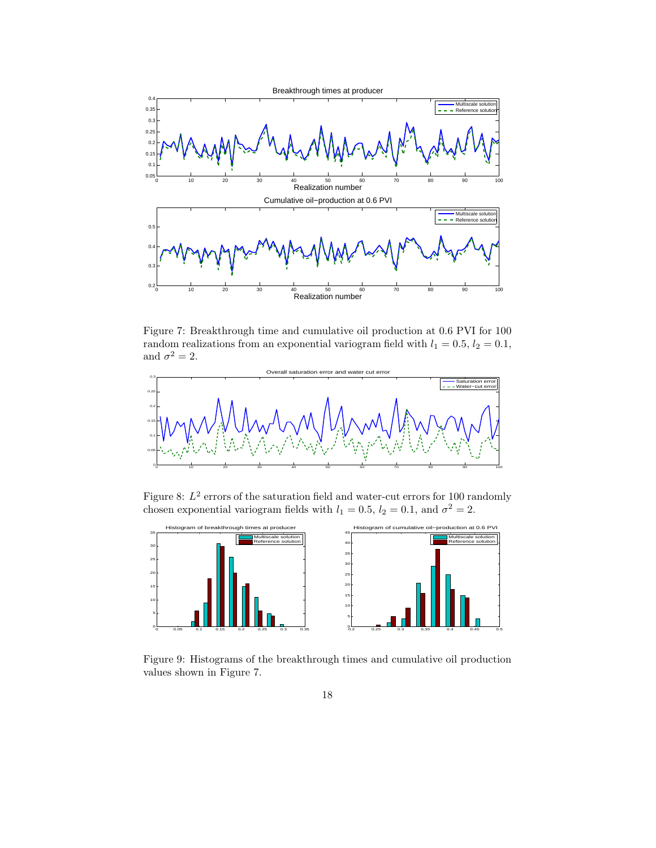

Figure 7: Breakthrough time and cumulative oil production at 0.6 PVI for 100 random realizations from an exponential variogram field with  $l_1 = 0.5, l_2 = 0.1$ , and  $\sigma^2 = 2$ .



Figure 8:  $L^2$  errors of the saturation field and water-cut errors for 100 randomly chosen exponential variogram fields with  $l_1 = 0.5$ ,  $l_2 = 0.1$ , and  $\sigma^2 = 2$ .



Figure 9: Histograms of the breakthrough times and cumulative oil production values shown in Figure 7.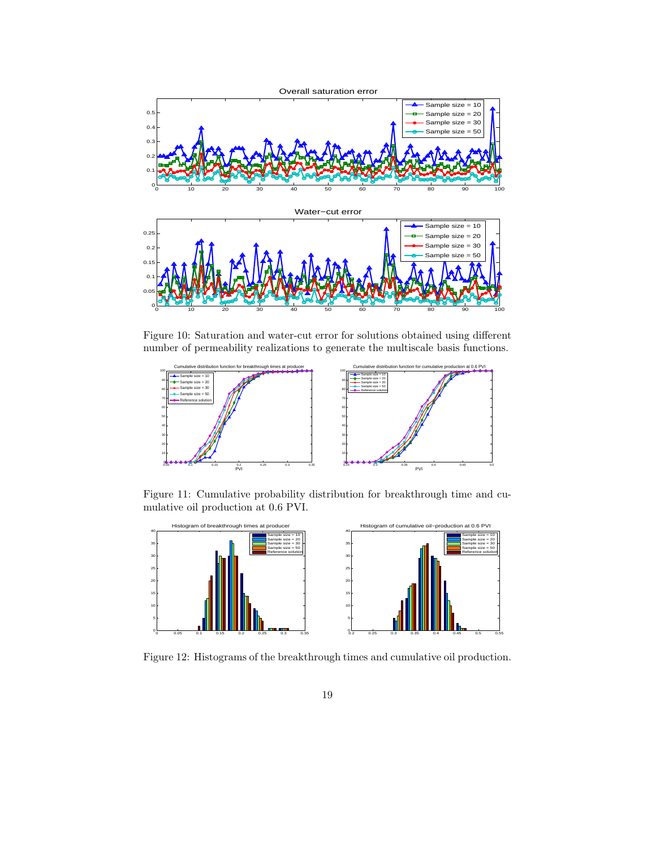

Figure 10: Saturation and water-cut error for solutions obtained using different number of permeability realizations to generate the multiscale basis functions.



Figure 11: Cumulative probability distribution for breakthrough time and cumulative oil production at 0.6 PVI.



Figure 12: Histograms of the breakthrough times and cumulative oil production.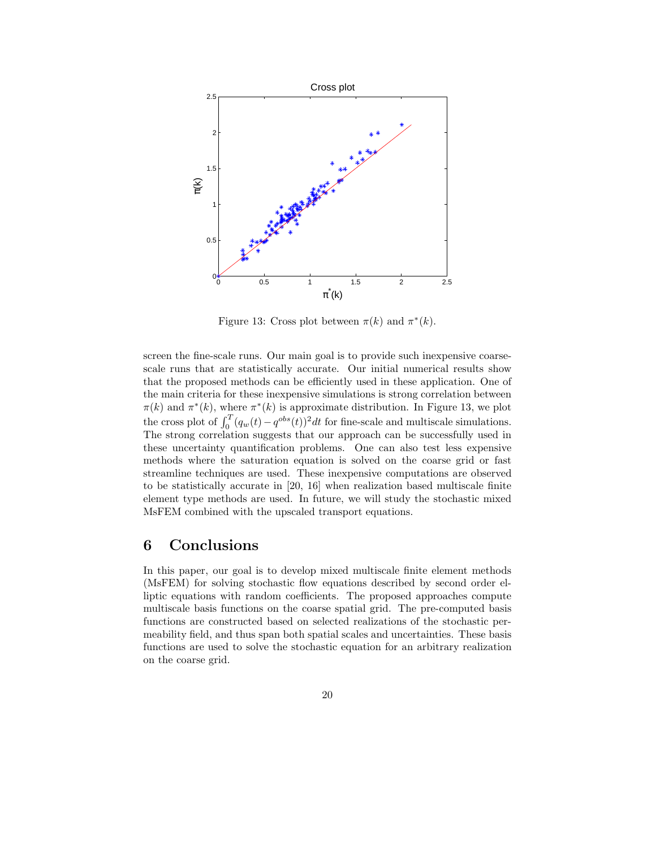

Figure 13: Cross plot between  $\pi(k)$  and  $\pi^*(k)$ .

screen the fine-scale runs. Our main goal is to provide such inexpensive coarsescale runs that are statistically accurate. Our initial numerical results show that the proposed methods can be efficiently used in these application. One of the main criteria for these inexpensive simulations is strong correlation between  $\pi(k)$  and  $\pi^*(k)$ , where  $\pi^*(k)$  is approximate distribution. In Figure 13, we plot the cross plot of  $\int_0^T (q_w(t) - q^{obs}(t))^2 dt$  for fine-scale and multiscale simulations. The strong correlation suggests that our approach can be successfully used in these uncertainty quantification problems. One can also test less expensive methods where the saturation equation is solved on the coarse grid or fast streamline techniques are used. These inexpensive computations are observed to be statistically accurate in [20, 16] when realization based multiscale finite element type methods are used. In future, we will study the stochastic mixed MsFEM combined with the upscaled transport equations.

# 6 Conclusions

In this paper, our goal is to develop mixed multiscale finite element methods (MsFEM) for solving stochastic flow equations described by second order elliptic equations with random coefficients. The proposed approaches compute multiscale basis functions on the coarse spatial grid. The pre-computed basis functions are constructed based on selected realizations of the stochastic permeability field, and thus span both spatial scales and uncertainties. These basis functions are used to solve the stochastic equation for an arbitrary realization on the coarse grid.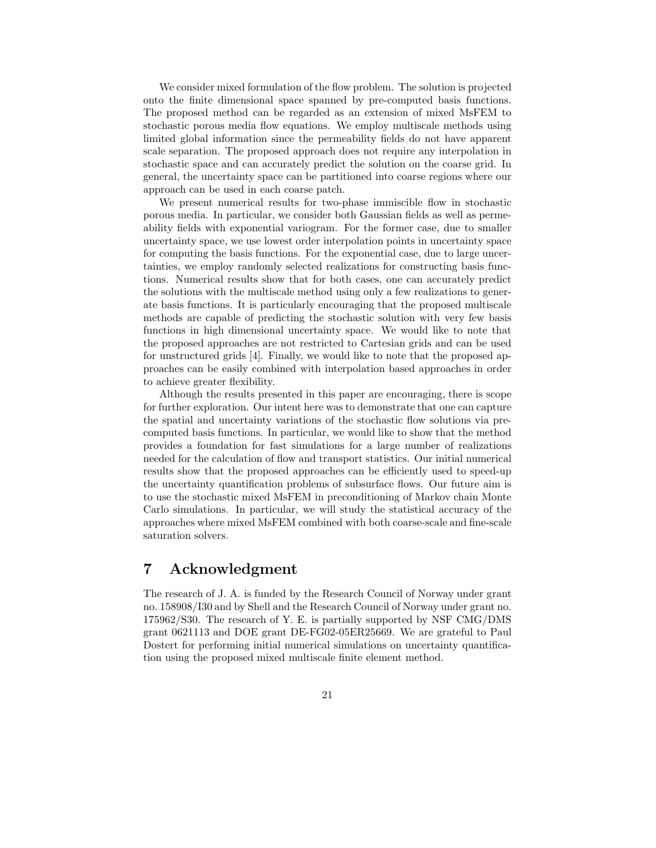We consider mixed formulation of the flow problem. The solution is projected onto the finite dimensional space spanned by pre-computed basis functions. The proposed method can be regarded as an extension of mixed MsFEM to stochastic porous media flow equations. We employ multiscale methods using limited global information since the permeability fields do not have apparent scale separation. The proposed approach does not require any interpolation in stochastic space and can accurately predict the solution on the coarse grid. In general, the uncertainty space can be partitioned into coarse regions where our approach can be used in each coarse patch.

We present numerical results for two-phase immiscible flow in stochastic porous media. In particular, we consider both Gaussian fields as well as permeability fields with exponential variogram. For the former case, due to smaller uncertainty space, we use lowest order interpolation points in uncertainty space for computing the basis functions. For the exponential case, due to large uncertainties, we employ randomly selected realizations for constructing basis functions. Numerical results show that for both cases, one can accurately predict the solutions with the multiscale method using only a few realizations to generate basis functions. It is particularly encouraging that the proposed multiscale methods are capable of predicting the stochastic solution with very few basis functions in high dimensional uncertainty space. We would like to note that the proposed approaches are not restricted to Cartesian grids and can be used for unstructured grids [4]. Finally, we would like to note that the proposed approaches can be easily combined with interpolation based approaches in order to achieve greater flexibility.

Although the results presented in this paper are encouraging, there is scope for further exploration. Our intent here was to demonstrate that one can capture the spatial and uncertainty variations of the stochastic flow solutions via precomputed basis functions. In particular, we would like to show that the method provides a foundation for fast simulations for a large number of realizations needed for the calculation of flow and transport statistics. Our initial numerical results show that the proposed approaches can be efficiently used to speed-up the uncertainty quantification problems of subsurface flows. Our future aim is to use the stochastic mixed MsFEM in preconditioning of Markov chain Monte Carlo simulations. In particular, we will study the statistical accuracy of the approaches where mixed MsFEM combined with both coarse-scale and fine-scale saturation solvers.

## 7 Acknowledgment

The research of J. A. is funded by the Research Council of Norway under grant no. 158908/I30 and by Shell and the Research Council of Norway under grant no. 175962/S30. The research of Y. E. is partially supported by NSF CMG/DMS grant 0621113 and DOE grant DE-FG02-05ER25669. We are grateful to Paul Dostert for performing initial numerical simulations on uncertainty quantification using the proposed mixed multiscale finite element method.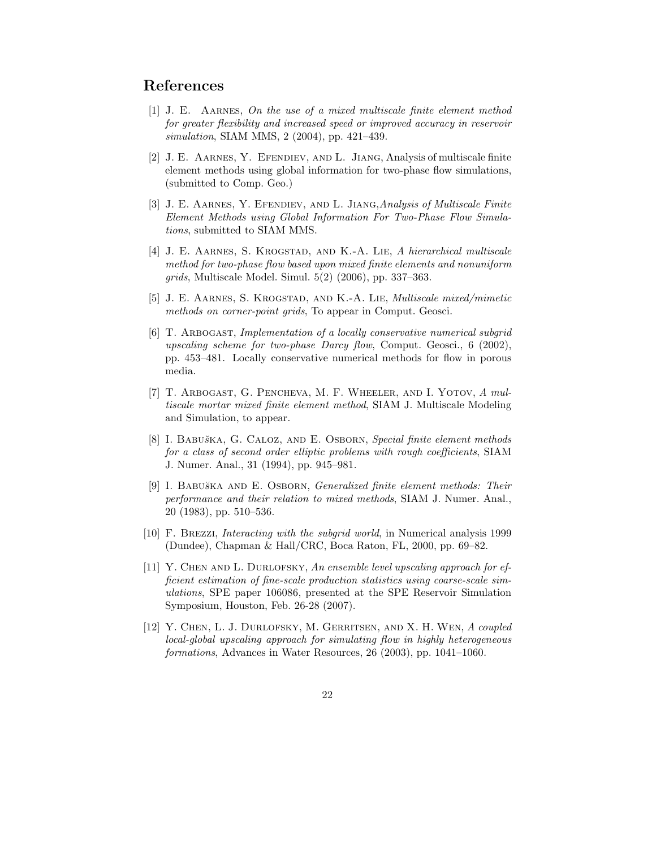# References

- [1] J. E. Aarnes, On the use of a mixed multiscale finite element method for greater flexibility and increased speed or improved accuracy in reservoir simulation, SIAM MMS, 2 (2004), pp. 421–439.
- [2] J. E. Aarnes, Y. Efendiev, and L. Jiang, Analysis of multiscale finite element methods using global information for two-phase flow simulations, (submitted to Comp. Geo.)
- [3] J. E. Aarnes, Y. Efendiev, and L. Jiang,Analysis of Multiscale Finite Element Methods using Global Information For Two-Phase Flow Simulations, submitted to SIAM MMS.
- [4] J. E. Aarnes, S. Krogstad, and K.-A. Lie, A hierarchical multiscale method for two-phase flow based upon mixed finite elements and nonuniform grids, Multiscale Model. Simul. 5(2) (2006), pp. 337–363.
- [5] J. E. Aarnes, S. Krogstad, and K.-A. Lie, Multiscale mixed/mimetic methods on corner-point grids, To appear in Comput. Geosci.
- [6] T. Arbogast, Implementation of a locally conservative numerical subgrid upscaling scheme for two-phase Darcy flow, Comput. Geosci.,  $6$  (2002), pp. 453–481. Locally conservative numerical methods for flow in porous media.
- [7] T. Arbogast, G. Pencheva, M. F. Wheeler, and I. Yotov, A multiscale mortar mixed finite element method, SIAM J. Multiscale Modeling and Simulation, to appear.
- [8] I. BABUŠKA, G. CALOZ, AND E. OSBORN, Special finite element methods for a class of second order elliptic problems with rough coefficients, SIAM J. Numer. Anal., 31 (1994), pp. 945–981.
- [9] I. BABUŠKA AND E. OSBORN, *Generalized finite element methods: Their* performance and their relation to mixed methods, SIAM J. Numer. Anal., 20 (1983), pp. 510–536.
- [10] F. Brezzi, Interacting with the subgrid world, in Numerical analysis 1999 (Dundee), Chapman & Hall/CRC, Boca Raton, FL, 2000, pp. 69–82.
- [11] Y. Chen and L. Durlofsky, An ensemble level upscaling approach for efficient estimation of fine-scale production statistics using coarse-scale simulations, SPE paper 106086, presented at the SPE Reservoir Simulation Symposium, Houston, Feb. 26-28 (2007).
- [12] Y. Chen, L. J. Durlofsky, M. Gerritsen, and X. H. Wen, A coupled local-global upscaling approach for simulating flow in highly heterogeneous formations, Advances in Water Resources, 26 (2003), pp. 1041–1060.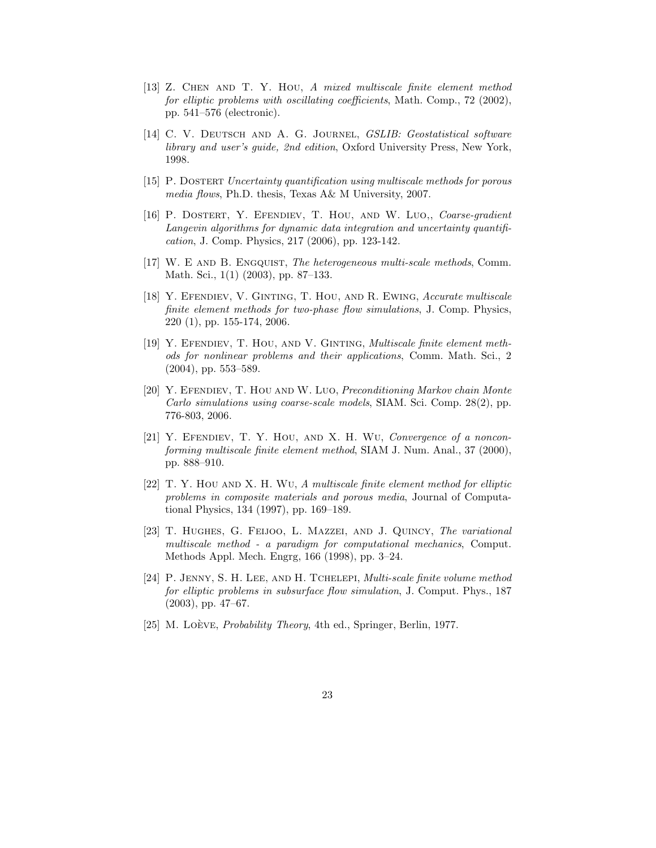- [13] Z. Chen and T. Y. Hou, A mixed multiscale finite element method for elliptic problems with oscillating coefficients, Math. Comp., 72 (2002), pp. 541–576 (electronic).
- [14] C. V. DEUTSCH AND A. G. JOURNEL, *GSLIB: Geostatistical software* library and user's guide, 2nd edition, Oxford University Press, New York, 1998.
- [15] P. DOSTERT Uncertainty quantification using multiscale methods for porous media flows, Ph.D. thesis, Texas A& M University, 2007.
- [16] P. DOSTERT, Y. EFENDIEV, T. HOU, AND W. LUO,, Coarse-gradient Langevin algorithms for dynamic data integration and uncertainty quantification, J. Comp. Physics, 217 (2006), pp. 123-142.
- [17] W. E and B. Engquist, The heterogeneous multi-scale methods, Comm. Math. Sci., 1(1) (2003), pp. 87–133.
- [18] Y. Efendiev, V. Ginting, T. Hou, and R. Ewing, Accurate multiscale finite element methods for two-phase flow simulations, J. Comp. Physics, 220 (1), pp. 155-174, 2006.
- [19] Y. Efendiev, T. Hou, and V. Ginting, Multiscale finite element methods for nonlinear problems and their applications, Comm. Math. Sci., 2 (2004), pp. 553–589.
- [20] Y. Efendiev, T. Hou and W. Luo, Preconditioning Markov chain Monte Carlo simulations using coarse-scale models, SIAM. Sci. Comp. 28(2), pp. 776-803, 2006.
- [21] Y. Efendiev, T. Y. Hou, and X. H. Wu, Convergence of a nonconforming multiscale finite element method, SIAM J. Num. Anal., 37 (2000), pp. 888–910.
- [22] T. Y. HOU AND X. H. WU, A multiscale finite element method for elliptic problems in composite materials and porous media, Journal of Computational Physics, 134 (1997), pp. 169–189.
- [23] T. Hughes, G. Feijoo, L. Mazzei, and J. Quincy, The variational multiscale method - a paradigm for computational mechanics, Comput. Methods Appl. Mech. Engrg, 166 (1998), pp. 3–24.
- [24] P. Jenny, S. H. Lee, and H. Tchelepi, Multi-scale finite volume method for elliptic problems in subsurface flow simulation, J. Comput. Phys., 187 (2003), pp. 47–67.
- [25] M. LOÈVE, *Probability Theory*, 4th ed., Springer, Berlin, 1977.